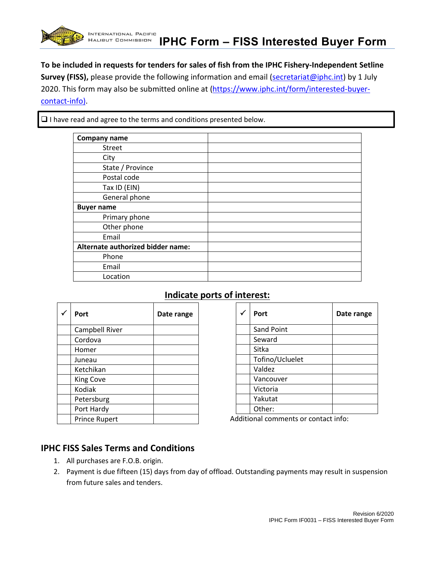

 $\Box$  I have read and agree to the terms and conditions presented below.

| <b>Company name</b>               |  |
|-----------------------------------|--|
|                                   |  |
| Street                            |  |
| City                              |  |
| State / Province                  |  |
| Postal code                       |  |
| Tax ID (EIN)                      |  |
| General phone                     |  |
| <b>Buyer name</b>                 |  |
| Primary phone                     |  |
| Other phone                       |  |
| Email                             |  |
| Alternate authorized bidder name: |  |
| Phone                             |  |
| Email                             |  |
| Location                          |  |

## **Indicate ports of interest:**

| Port                 | Date range |
|----------------------|------------|
| Campbell River       |            |
| Cordova              |            |
| Homer                |            |
| Juneau               |            |
| Ketchikan            |            |
| <b>King Cove</b>     |            |
| Kodiak               |            |
| Petersburg           |            |
| Port Hardy           |            |
| <b>Prince Rupert</b> |            |

| Port              | Date range |
|-------------------|------------|
| <b>Sand Point</b> |            |
| Seward            |            |
| Sitka             |            |
| Tofino/Ucluelet   |            |
| Valdez            |            |
| Vancouver         |            |
| Victoria          |            |
| Yakutat           |            |
| Other:            |            |

Additional comments or contact info:

## **IPHC FISS Sales Terms and Conditions**

- 1. All purchases are F.O.B. origin.
- 2. Payment is due fifteen (15) days from day of offload. Outstanding payments may result in suspension from future sales and tenders.